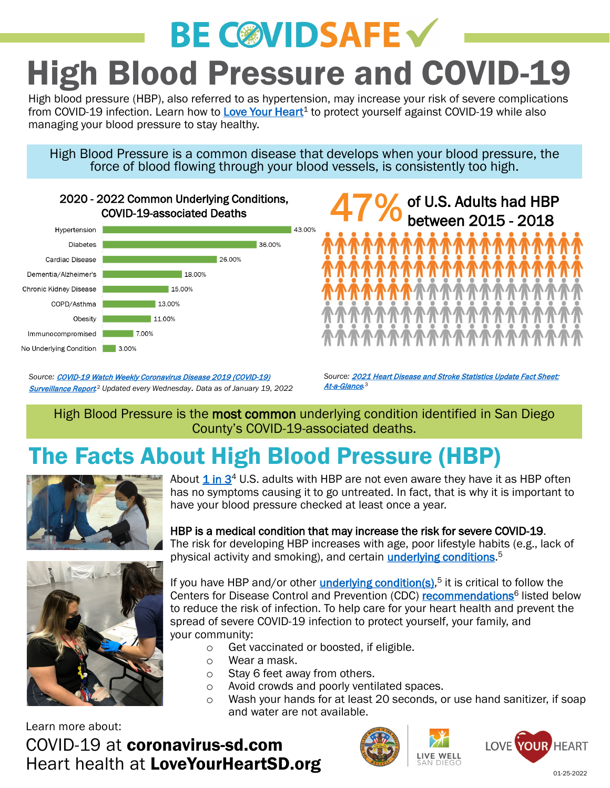# **BE COVIDSAFE V** High Blood Pressure and COVID-19

High blood pressure (HBP), also referred to as hypertension, may increase your risk of severe complications from COVID-19 infection. Learn how to Love Your Heart<sup>1</sup> to protect yourself against COVID-19 while also managing your blood pressure to stay healthy.

High Blood Pressure is a common disease that develops when your blood pressure, the force of blood flowing through your blood vessels, is consistently too high.



Source: **[COVID-19 Watch Weekly Coronavirus Disease 2019 \(COVID-19\)](https://www.sandiegocounty.gov/content/dam/sdc/hhsa/programs/phs/Epidemiology/COVID-19%20Watch.pdf)** [Surveillance Report](https://www.sandiegocounty.gov/content/dam/sdc/hhsa/programs/phs/Epidemiology/COVID-19%20Watch.pdf)*.* <sup>2</sup> *Updated every Wednesday*. *Data as of January 19, 2022*



*Source:* [2021 Heart Disease and Stroke Statistics Update Fact Sheet:](https://www.heart.org/-/media/PHD-Files-2/Science-News/2/2021-Heart-and-Stroke-Stat-Update/2021_heart_disease_and_stroke_statistics_update_whats_new.pdf) At-a-Glance*.* 3

#### High Blood Pressure is the most common underlying condition identified in San Diego County's COVID-19-associated deaths.

### The Facts About High Blood Pressure (HBP)



About  $1$  [in](https://www.nhlbi.nih.gov/health-topics/high-blood-pressure#:%7E:text=About%201%20in%203%20U.S.%20adults%20with%20high,may%20recommend%20that%20you%20adopt%20a%20heart-healthy%20lifestyle.)  $3<sup>4</sup>$  U.S. adults with HBP are not even aware they have it as HBP often has no symptoms causing it to go untreated. In fact, that is why it is important to have your blood pressure checked at least once a year.

HBP is a medical condition that may increase the risk for severe COVID-19. The risk for developing HBP increases with age, poor lifestyle habits (e.g., lack of physical activity and smoking), and certain *[underlying conditions](https://www.cdc.gov/coronavirus/2019-ncov/hcp/clinical-care/underlyingconditions.html)*.<sup>5</sup>



If you have HBP and/or other *[underlying condition\(s\)](https://www.cdc.gov/coronavirus/2019-ncov/hcp/clinical-care/underlyingconditions.html)*,<sup>5</sup> it is critical to follow the Centers for Disease Control and Prevention (CDC) [recommendations](https://www.cdc.gov/coronavirus/2019-ncov/prevent-getting-sick/prevention.html)<sup>6</sup> listed below to reduce the risk of infection. To help care for your heart health and prevent the spread of severe COVID-19 infection to protect yourself, your family, and your community:

- $\circ$  Get vaccinated or boosted, if eligible.<br>  $\circ$  Wear a mask.
- Wear a mask.
- o Stay 6 feet away from others.
- o Avoid crowds and poorly ventilated spaces.<br>
o Wash your hands for at least 20 seconds, o
- Wash your hands for at least 20 seconds, or use hand sanitizer, if soap and water are not available.

Learn more about:

#### COVID-19 at coronavirus-sd.com Heart health at LoveYourHeartSD.org





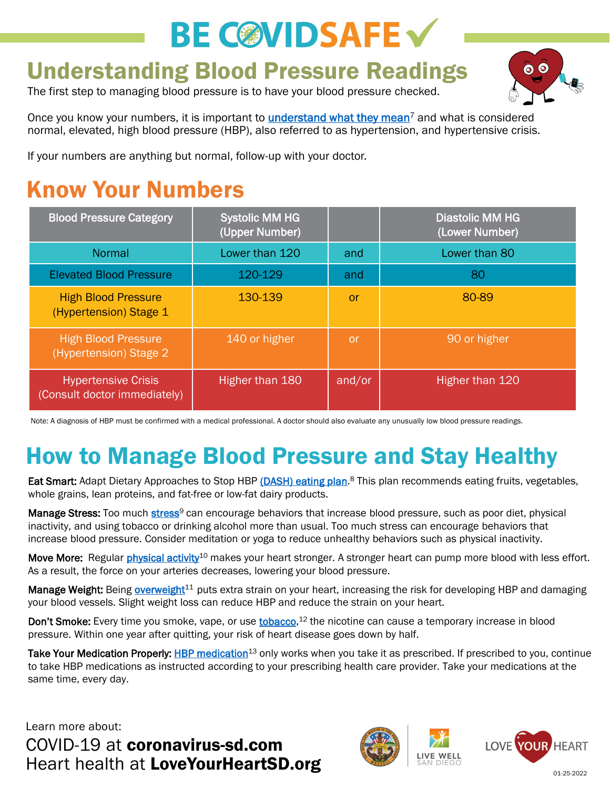## **BE COVIDSAFE V**

#### Understanding Blood Pressure Readings

The first step to managing blood pressure is to have your blood pressure checked.



Once you know your numbers, it is important to *understand what they mean<sup>7</sup>* and what is considered normal, elevated, high blood pressure (HBP), also referred to as hypertension, and hypertensive crisis.

If your numbers are anything but normal, follow-up with your doctor.

### Know Your Numbers

| <b>Blood Pressure Category</b>                             | <b>Systolic MM HG</b><br>(Upper Number) |        | <b>Diastolic MM HG</b><br>(Lower Number) |
|------------------------------------------------------------|-----------------------------------------|--------|------------------------------------------|
| Normal                                                     | Lower than 120                          | and    | Lower than 80                            |
| <b>Elevated Blood Pressure</b>                             | 120-129                                 | and    | 80                                       |
| <b>High Blood Pressure</b><br>(Hypertension) Stage 1       | 130-139                                 | or     | 80-89                                    |
| <b>High Blood Pressure</b><br>(Hypertension) Stage 2       | 140 or higher                           | or     | 90 or higher                             |
| <b>Hypertensive Crisis</b><br>(Consult doctor immediately) | Higher than 180                         | and/or | Higher than 120                          |

Note: A diagnosis of HBP must be confirmed with a medical professional. A doctor should also evaluate any unusually low blood pressure readings.

### How to Manage Blood Pressure and Stay Healthy

Eat Smart: Adapt Dietary Approaches to Stop HBP [\(DASH\) eating plan.](http://www.nhlbi.nih.gov/DASH)<sup>8</sup> This plan recommends eating fruits, vegetables, whole grains, lean proteins, and fat-free or low-fat dairy products.

Manage Stress: Too much [stress](https://www.heart.org/en/health-topics/high-blood-pressure/changes-you-can-make-to-manage-high-blood-pressure/managing-stress-to-control-high-blood-pressure)<sup>9</sup> can encourage behaviors that increase blood pressure, such as poor diet, physical inactivity, and using tobacco or drinking alcohol more than usual. Too much stress can encourage behaviors that increase blood pressure. Consider meditation or yoga to reduce unhealthy behaviors such as physical inactivity.

Move More: Regular [physical activity](https://www.heart.org/en/healthy-living/fitness)<sup>10</sup> makes your heart stronger. A stronger heart can pump more blood with less effort. As a result, the force on your arteries decreases, lowering your blood pressure.

Manage Weight: Being overweight<sup>11</sup> puts extra strain on your heart, increasing the risk for developing HBP and damaging your blood vessels. Slight weight loss can reduce HBP and reduce the strain on your heart.

Don't Smoke: Every time you smoke, vape, or use [tobacco](https://www.heart.org/en/health-topics/high-blood-pressure/changes-you-can-make-to-manage-high-blood-pressure/smoking-high-blood-pressure-and-your-health),<sup>12</sup> the nicotine can cause a temporary increase in blood pressure. Within one year after quitting, your risk of heart disease goes down by half.

Take Your Medication Properly: [HBP medication](https://www.heart.org/-/media/Files/Health-Topics/Answers-by-Heart/What-Is-HBP-Medicine.pdf)<sup>13</sup> only works when you take it as prescribed. If prescribed to you, continue to take HBP medications as instructed according to your prescribing health care provider. Take your medications at the same time, every day.

Learn more about:

COVID-19 at coronavirus-sd.com Heart health at LoveYourHeartSD.org **1998 SAN DIEGO** 01-25-2022